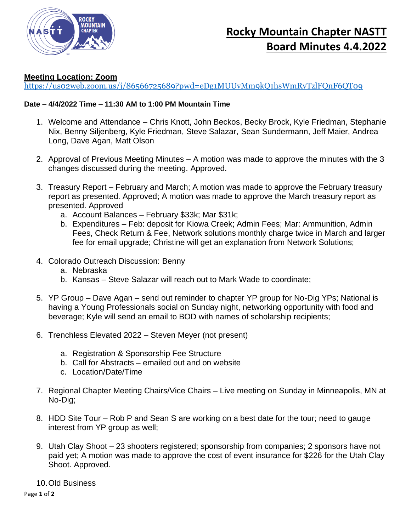

## **Rocky Mountain Chapter NASTT Board Minutes 4.4.2022**

## **Meeting Location: Zoom**

<https://us02web.zoom.us/j/86566725689?pwd=eDg1MUUvMm9kQ1hsWmRvTzlFQnF6QT09>

## **Date – 4/4/2022 Time – 11:30 AM to 1:00 PM Mountain Time**

- 1. Welcome and Attendance Chris Knott, John Beckos, Becky Brock, Kyle Friedman, Stephanie Nix, Benny Siljenberg, Kyle Friedman, Steve Salazar, Sean Sundermann, Jeff Maier, Andrea Long, Dave Agan, Matt Olson
- 2. Approval of Previous Meeting Minutes A motion was made to approve the minutes with the 3 changes discussed during the meeting. Approved.
- 3. Treasury Report February and March; A motion was made to approve the February treasury report as presented. Approved; A motion was made to approve the March treasury report as presented. Approved
	- a. Account Balances February \$33k; Mar \$31k;
	- b. Expenditures Feb: deposit for Kiowa Creek; Admin Fees; Mar: Ammunition, Admin Fees, Check Return & Fee, Network solutions monthly charge twice in March and larger fee for email upgrade; Christine will get an explanation from Network Solutions;
- 4. Colorado Outreach Discussion: Benny
	- a. Nebraska
	- b. Kansas Steve Salazar will reach out to Mark Wade to coordinate;
- 5. YP Group Dave Agan send out reminder to chapter YP group for No-Dig YPs; National is having a Young Professionals social on Sunday night, networking opportunity with food and beverage; Kyle will send an email to BOD with names of scholarship recipients;
- 6. Trenchless Elevated 2022 Steven Meyer (not present)
	- a. Registration & Sponsorship Fee Structure
	- b. Call for Abstracts emailed out and on website
	- c. Location/Date/Time
- 7. Regional Chapter Meeting Chairs/Vice Chairs Live meeting on Sunday in Minneapolis, MN at No-Dig;
- 8. HDD Site Tour Rob P and Sean S are working on a best date for the tour; need to gauge interest from YP group as well;
- 9. Utah Clay Shoot 23 shooters registered; sponsorship from companies; 2 sponsors have not paid yet; A motion was made to approve the cost of event insurance for \$226 for the Utah Clay Shoot. Approved.
- 10.Old Business